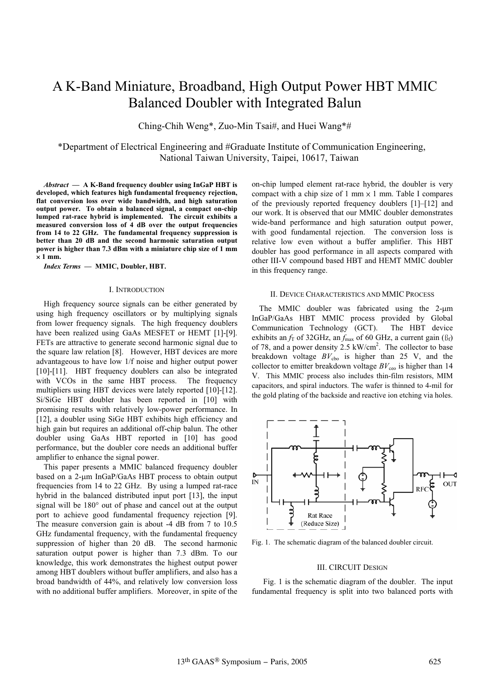# A K-Band Miniature, Broadband, High Output Power HBT MMIC Balanced Doubler with Integrated Balun

Ching-Chih Weng\*, Zuo-Min Tsai#, and Huei Wang\*#

\*Department of Electrical Engineering and #Graduate Institute of Communication Engineering, National Taiwan University, Taipei, 10617, Taiwan

*Abstract* **— A K-Band frequency doubler using InGaP HBT is developed, which features high fundamental frequency rejection, flat conversion loss over wide bandwidth, and high saturation output power. To obtain a balanced signal, a compact on-chip lumped rat-race hybrid is implemented. The circuit exhibits a measured conversion loss of 4 dB over the output frequencies from 14 to 22 GHz. The fundamental frequency suppression is better than 20 dB and the second harmonic saturation output power is higher than 7.3 dBm with a miniature chip size of 1 mm**   $\times$  1 mm.

*Index Terms* **— MMIC, Doubler, HBT.**

#### I. INTRODUCTION

High frequency source signals can be either generated by using high frequency oscillators or by multiplying signals from lower frequency signals. The high frequency doublers have been realized using GaAs MESFET or HEMT [1]-[9]. FETs are attractive to generate second harmonic signal due to the square law relation [8]. However, HBT devices are more advantageous to have low 1/f noise and higher output power [10]-[11]. HBT frequency doublers can also be integrated with VCOs in the same HBT process. The frequency multipliers using HBT devices were lately reported [10]-[12]. Si/SiGe HBT doubler has been reported in [10] with promising results with relatively low-power performance. In [12], a doubler using SiGe HBT exhibits high efficiency and high gain but requires an additional off-chip balun. The other doubler using GaAs HBT reported in [10] has good performance, but the doubler core needs an additional buffer amplifier to enhance the signal power.

This paper presents a MMIC balanced frequency doubler based on a  $2$ -µm InGaP/GaAs HBT process to obtain output frequencies from 14 to 22 GHz. By using a lumped rat-race hybrid in the balanced distributed input port [13], the input signal will be  $180^\circ$  out of phase and cancel out at the output port to achieve good fundamental frequency rejection [9]. The measure conversion gain is about -4 dB from 7 to 10.5 GHz fundamental frequency, with the fundamental frequency suppression of higher than 20 dB. The second harmonic saturation output power is higher than 7.3 dBm. To our knowledge, this work demonstrates the highest output power among HBT doublers without buffer amplifiers, and also has a broad bandwidth of 44%, and relatively low conversion loss with no additional buffer amplifiers. Moreover, in spite of the on-chip lumped element rat-race hybrid, the doubler is very compact with a chip size of 1 mm  $\times$  1 mm. Table I compares of the previously reported frequency doublers [1]–[12] and our work. It is observed that our MMIC doubler demonstrates wide-band performance and high saturation output power, with good fundamental rejection. The conversion loss is relative low even without a buffer amplifier. This HBT doubler has good performance in all aspects compared with other III-V compound based HBT and HEMT MMIC doubler in this frequency range.

#### II. DEVICE CHARACTERISTICS AND MMIC PROCESS

The MMIC doubler was fabricated using the  $2-\mu m$ InGaP/GaAs HBT MMIC process provided by Global Communication Technology (GCT). The HBT device exhibits an  $f_T$  of 32GHz, an  $f_{\text{max}}$  of 60 GHz, a current gain ( $\beta_f$ ) of 78, and a power density 2.5  $kW/cm<sup>2</sup>$ . The collector to base breakdown voltage  $BV_{\text{cho}}$  is higher than 25 V, and the collector to emitter breakdown voltage  $BV_{ceo}$  is higher than 14 V. This MMIC process also includes thin-film resistors, MIM capacitors, and spiral inductors. The wafer is thinned to 4-mil for the gold plating of the backside and reactive ion etching via holes.



Fig. 1. The schematic diagram of the balanced doubler circuit.

#### III. CIRCUIT DESIGN

 Fig. 1 is the schematic diagram of the doubler. The input fundamental frequency is split into two balanced ports with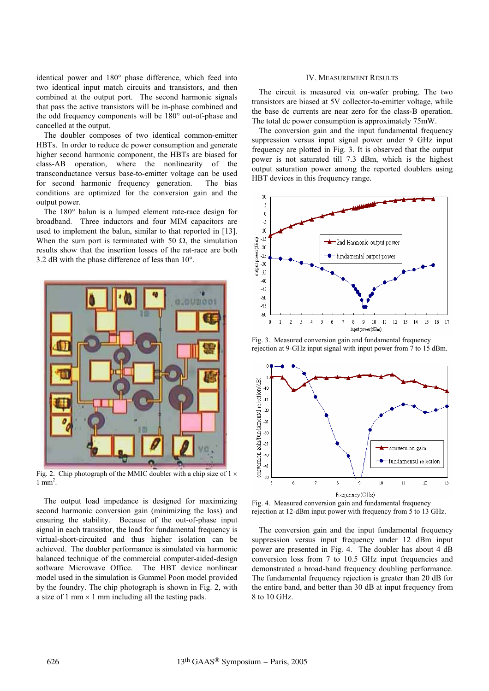identical power and 180° phase difference, which feed into two identical input match circuits and transistors, and then combined at the output port. The second harmonic signals that pass the active transistors will be in-phase combined and the odd frequency components will be 180° out-of-phase and cancelled at the output.

The doubler composes of two identical common-emitter HBTs. In order to reduce dc power consumption and generate higher second harmonic component, the HBTs are biased for class-AB operation, where the nonlinearity of the transconductance versus base-to-emitter voltage can be used for second harmonic frequency generation. The bias conditions are optimized for the conversion gain and the output power.

The 180° balun is a lumped element rate-race design for broadband. Three inductors and four MIM capacitors are used to implement the balun, similar to that reported in [13]. When the sum port is terminated with 50  $\Omega$ , the simulation results show that the insertion losses of the rat-race are both 3.2 dB with the phase difference of less than 10°.



Fig. 2. Chip photograph of the MMIC doubler with a chip size of  $1 \times$  $1 \text{ mm}^2$ .

The output load impedance is designed for maximizing second harmonic conversion gain (minimizing the loss) and ensuring the stability. Because of the out-of-phase input signal in each transistor, the load for fundamental frequency is virtual-short-circuited and thus higher isolation can be achieved. The doubler performance is simulated via harmonic balanced technique of the commercial computer-aided-design software Microwave Office. The HBT device nonlinear model used in the simulation is Gummel Poon model provided by the foundry. The chip photograph is shown in Fig. 2, with a size of 1 mm  $\times$  1 mm including all the testing pads.

## IV. MEASUREMENT RESULTS

The circuit is measured via on-wafer probing. The two transistors are biased at 5V collector-to-emitter voltage, while the base dc currents are near zero for the class-B operation. The total dc power consumption is approximately 75mW.

The conversion gain and the input fundamental frequency suppression versus input signal power under 9 GHz input frequency are plotted in Fig. 3. It is observed that the output power is not saturated till 7.3 dBm, which is the highest output saturation power among the reported doublers using HBT devices in this frequency range.



Fig. 3. Measured conversion gain and fundamental frequency rejection at 9-GHz input signal with input power from 7 to 15 dBm.



Fig. 4. Measured conversion gain and fundamental frequency rejection at 12-dBm input power with frequency from 5 to 13 GHz.

The conversion gain and the input fundamental frequency suppression versus input frequency under 12 dBm input power are presented in Fig. 4. The doubler has about 4 dB conversion loss from 7 to 10.5 GHz input frequencies and demonstrated a broad-band frequency doubling performance. The fundamental frequency rejection is greater than 20 dB for the entire band, and better than 30 dB at input frequency from 8 to 10 GHz.